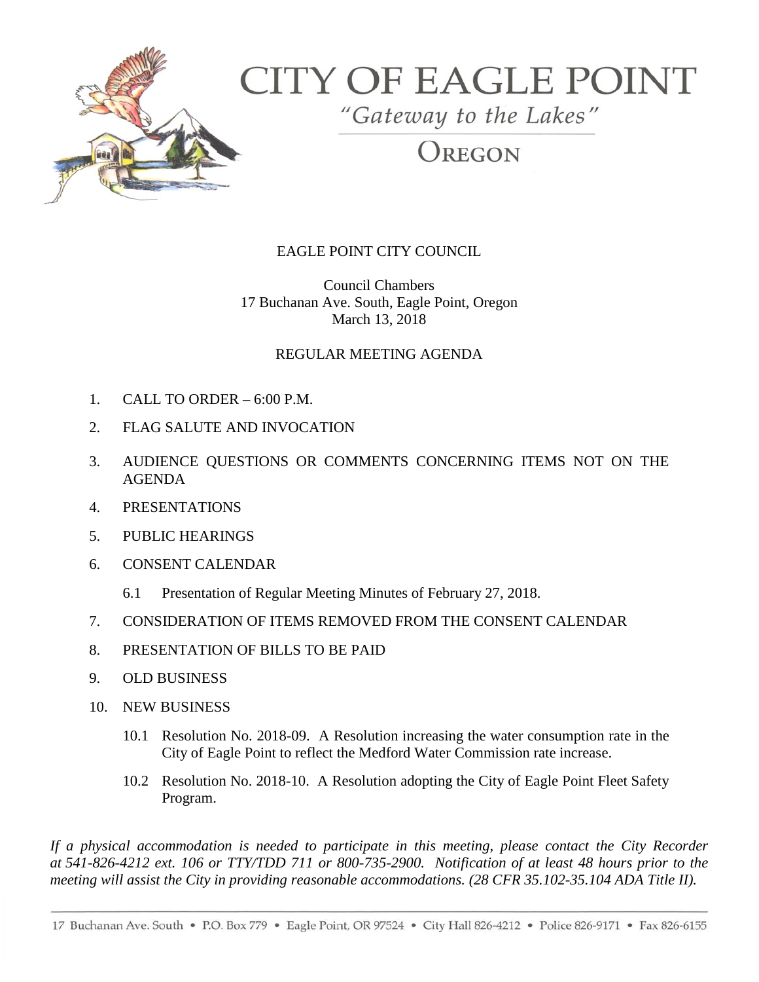

## **CITY OF EAGLE POINT**

"Gateway to the Lakes"

REGON

## EAGLE POINT CITY COUNCIL

Council Chambers 17 Buchanan Ave. South, Eagle Point, Oregon March 13, 2018

## REGULAR MEETING AGENDA

- 1. CALL TO ORDER 6:00 P.M.
- 2. FLAG SALUTE AND INVOCATION
- 3. AUDIENCE QUESTIONS OR COMMENTS CONCERNING ITEMS NOT ON THE AGENDA
- 4. PRESENTATIONS
- 5. PUBLIC HEARINGS
- 6. CONSENT CALENDAR
	- 6.1 Presentation of Regular Meeting Minutes of February 27, 2018.
- 7. CONSIDERATION OF ITEMS REMOVED FROM THE CONSENT CALENDAR
- 8. PRESENTATION OF BILLS TO BE PAID
- 9. OLD BUSINESS
- 10. NEW BUSINESS
	- 10.1 Resolution No. 2018-09. A Resolution increasing the water consumption rate in the City of Eagle Point to reflect the Medford Water Commission rate increase.
	- 10.2 Resolution No. 2018-10. A Resolution adopting the City of Eagle Point Fleet Safety Program.

*If a physical accommodation is needed to participate in this meeting, please contact the City Recorder at 541-826-4212 ext. 106 or TTY/TDD 711 or 800-735-2900. Notification of at least 48 hours prior to the meeting will assist the City in providing reasonable accommodations. (28 CFR 35.102-35.104 ADA Title II).*